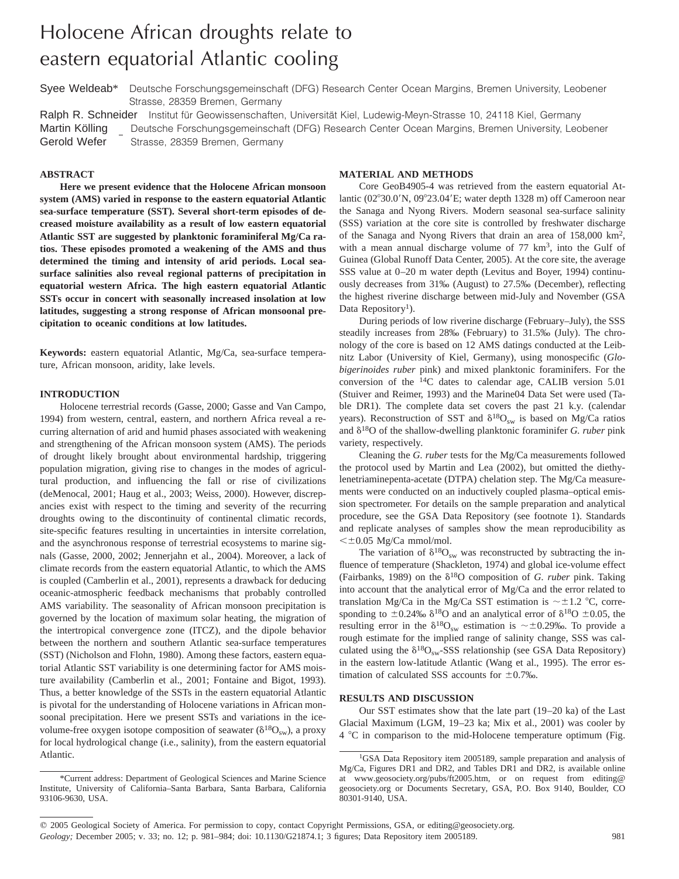# Holocene African droughts relate to eastern equatorial Atlantic cooling

Syee Weldeab\* Deutsche Forschungsgemeinschaft (DFG) Research Center Ocean Margins, Bremen University, Leobener Strasse, 28359 Bremen, Germany

Ralph R. Schneider Institut für Geowissenschaften, Universität Kiel, Ludewig-Meyn-Strasse 10, 24118 Kiel, Germany Martin Kölling Gerold Wefer  $\overline{\phantom{a}}$ Deutsche Forschungsgemeinschaft (DFG) Research Center Ocean Margins, Bremen University, Leobener Strasse, 28359 Bremen, Germany

# **ABSTRACT**

**Here we present evidence that the Holocene African monsoon system (AMS) varied in response to the eastern equatorial Atlantic sea-surface temperature (SST). Several short-term episodes of decreased moisture availability as a result of low eastern equatorial Atlantic SST are suggested by planktonic foraminiferal Mg/Ca ratios. These episodes promoted a weakening of the AMS and thus determined the timing and intensity of arid periods. Local seasurface salinities also reveal regional patterns of precipitation in equatorial western Africa. The high eastern equatorial Atlantic SSTs occur in concert with seasonally increased insolation at low latitudes, suggesting a strong response of African monsoonal precipitation to oceanic conditions at low latitudes.**

**Keywords:** eastern equatorial Atlantic, Mg/Ca, sea-surface temperature, African monsoon, aridity, lake levels.

#### **INTRODUCTION**

Holocene terrestrial records (Gasse, 2000; Gasse and Van Campo, 1994) from western, central, eastern, and northern Africa reveal a recurring alternation of arid and humid phases associated with weakening and strengthening of the African monsoon system (AMS). The periods of drought likely brought about environmental hardship, triggering population migration, giving rise to changes in the modes of agricultural production, and influencing the fall or rise of civilizations (deMenocal, 2001; Haug et al., 2003; Weiss, 2000). However, discrepancies exist with respect to the timing and severity of the recurring droughts owing to the discontinuity of continental climatic records, site-specific features resulting in uncertainties in intersite correlation, and the asynchronous response of terrestrial ecosystems to marine signals (Gasse, 2000, 2002; Jennerjahn et al., 2004). Moreover, a lack of climate records from the eastern equatorial Atlantic, to which the AMS is coupled (Camberlin et al., 2001), represents a drawback for deducing oceanic-atmospheric feedback mechanisms that probably controlled AMS variability. The seasonality of African monsoon precipitation is governed by the location of maximum solar heating, the migration of the intertropical convergence zone (ITCZ), and the dipole behavior between the northern and southern Atlantic sea-surface temperatures (SST) (Nicholson and Flohn, 1980). Among these factors, eastern equatorial Atlantic SST variability is one determining factor for AMS moisture availability (Camberlin et al., 2001; Fontaine and Bigot, 1993). Thus, a better knowledge of the SSTs in the eastern equatorial Atlantic is pivotal for the understanding of Holocene variations in African monsoonal precipitation. Here we present SSTs and variations in the icevolume-free oxygen isotope composition of seawater ( $\delta^{18}O_{\rm sw}$ ), a proxy for local hydrological change (i.e., salinity), from the eastern equatorial Atlantic.

# **MATERIAL AND METHODS**

Core GeoB4905-4 was retrieved from the eastern equatorial Atlantic  $(02^{\circ}30.0^{\prime}N, 09^{\circ}23.04^{\prime}E$ ; water depth 1328 m) off Cameroon near the Sanaga and Nyong Rivers. Modern seasonal sea-surface salinity (SSS) variation at the core site is controlled by freshwater discharge of the Sanaga and Nyong Rivers that drain an area of 158,000 km2, with a mean annual discharge volume of  $77 \text{ km}^3$ , into the Gulf of Guinea (Global Runoff Data Center, 2005). At the core site, the average SSS value at 0–20 m water depth (Levitus and Boyer, 1994) continuously decreases from 31‰ (August) to 27.5‰ (December), reflecting the highest riverine discharge between mid-July and November (GSA Data Repository<sup>1</sup>).

During periods of low riverine discharge (February–July), the SSS steadily increases from 28‰ (February) to 31.5‰ (July). The chronology of the core is based on 12 AMS datings conducted at the Leibnitz Labor (University of Kiel, Germany), using monospecific (*Globigerinoides ruber* pink) and mixed planktonic foraminifers. For the conversion of the 14C dates to calendar age, CALIB version 5.01 (Stuiver and Reimer, 1993) and the Marine04 Data Set were used (Table DR1). The complete data set covers the past 21 k.y. (calendar years). Reconstruction of SST and  $\delta^{18}O_{sw}$  is based on Mg/Ca ratios and  $\delta^{18}$ O of the shallow-dwelling planktonic foraminifer *G. ruber* pink variety, respectively.

Cleaning the *G. ruber* tests for the Mg/Ca measurements followed the protocol used by Martin and Lea (2002), but omitted the diethylenetriaminepenta-acetate (DTPA) chelation step. The Mg/Ca measurements were conducted on an inductively coupled plasma–optical emission spectrometer. For details on the sample preparation and analytical procedure, see the GSA Data Repository (see footnote 1). Standards and replicate analyses of samples show the mean reproducibility as  $\leq \pm 0.05$  Mg/Ca mmol/mol.

The variation of  $\delta^{18}O_{sw}$  was reconstructed by subtracting the influence of temperature (Shackleton, 1974) and global ice-volume effect (Fairbanks, 1989) on the  $\delta^{18}O$  composition of *G. ruber* pink. Taking into account that the analytical error of Mg/Ca and the error related to translation Mg/Ca in the Mg/Ca SST estimation is  $\sim \pm 1.2$  °C, corresponding to  $\pm 0.24\%$   $\delta^{18}$ O and an analytical error of  $\delta^{18}$ O  $\pm 0.05$ , the resulting error in the  $\delta^{18}O_{sw}$  estimation is  $\sim \pm 0.29$ %. To provide a rough estimate for the implied range of salinity change, SSS was calculated using the  $\delta^{18}O_{sw}$ -SSS relationship (see GSA Data Repository) in the eastern low-latitude Atlantic (Wang et al., 1995). The error estimation of calculated SSS accounts for  $\pm 0.7$ ‰.

# **RESULTS AND DISCUSSION**

Our SST estimates show that the late part (19–20 ka) of the Last Glacial Maximum (LGM, 19–23 ka; Mix et al., 2001) was cooler by  $4 \text{ °C}$  in comparison to the mid-Holocene temperature optimum (Fig.

<sup>\*</sup>Current address: Department of Geological Sciences and Marine Science Institute, University of California–Santa Barbara, Santa Barbara, California 93106-9630, USA.

<sup>&</sup>lt;sup>1</sup>GSA Data Repository item 2005189, sample preparation and analysis of Mg/Ca, Figures DR1 and DR2, and Tables DR1 and DR2, is available online at www.geosociety.org/pubs/ft2005.htm, or on request from editing@ geosociety.org or Documents Secretary, GSA, P.O. Box 9140, Boulder, CO 80301-9140, USA.

 $@$  2005 Geological Society of America. For permission to copy, contact Copyright Permissions, GSA, or editing@geosociety.org. *Geology;* December 2005; v. 33; no. 12; p. 981–984; doi: 10.1130/G21874.1; 3 figures; Data Repository item 2005189. 981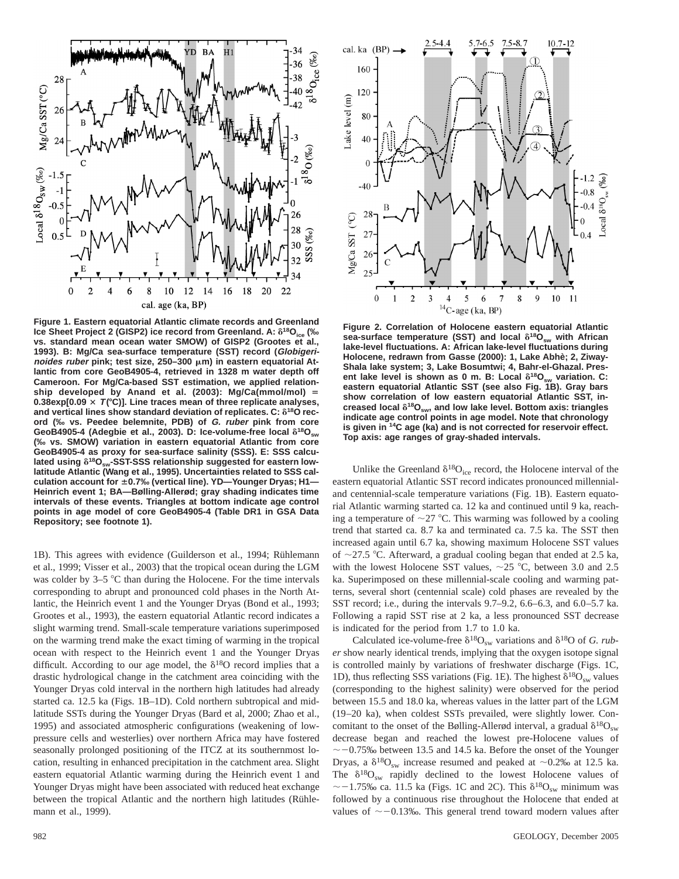

**Figure 1. Eastern equatorial Atlantic climate records and Greenland Ice Sheet Project 2 (GISP2) ice record from Greenland. A:**  $\delta^{18}O_{\text{ice}}$  **(‰ vs. standard mean ocean water SMOW) of GISP2 (Grootes et al., 1993). B: Mg/Ca sea-surface temperature (SST) record (Globigeri***noides ruber* **pink; test size, 250–300 μm) in eastern equatorial Atlantic from core GeoB4905-4, retrieved in 1328 m water depth off Cameroon. For Mg/Ca-based SST estimation, we applied relation**ship developed by Anand et al. (2003): Mg/Ca(mmol/mol) = 0.38exp[0.09  $\times$   $T$  ( $\degree$ C)]. Line traces mean of three replicate analyses, **and vertical lines show standard deviation of replicates. C: δ<sup>18</sup>O record (‰ vs. Peedee belemnite, PDB) of G. ruber pink from core** GeoB4905-4 (Adegbie et al., 2003). D: Ice-volume-free local  $\delta^{18}O_{\text{sw}}$ **(‰ vs. SMOW) variation in eastern equatorial Atlantic from core GeoB4905-4 as proxy for sea-surface salinity (SSS). E: SSS calcu**lated using  $\delta^{18}O_{\text{sw}}$ -SST-SSS relationship suggested for eastern low**latitude Atlantic (Wang et al., 1995). Uncertainties related to SSS calculation account for** 6**0.7‰ (vertical line). YD—Younger Dryas; H1— Heinrich event 1; BA—Bølling-Allerød; gray shading indicates time intervals of these events. Triangles at bottom indicate age control points in age model of core GeoB4905-4 (Table DR1 in GSA Data Repository; see footnote 1).**

1B). This agrees with evidence (Guilderson et al., 1994; Rühlemann et al., 1999; Visser et al., 2003) that the tropical ocean during the LGM was colder by  $3-5$  °C than during the Holocene. For the time intervals corresponding to abrupt and pronounced cold phases in the North Atlantic, the Heinrich event 1 and the Younger Dryas (Bond et al., 1993; Grootes et al., 1993), the eastern equatorial Atlantic record indicates a slight warming trend. Small-scale temperature variations superimposed on the warming trend make the exact timing of warming in the tropical ocean with respect to the Heinrich event 1 and the Younger Dryas difficult. According to our age model, the  $\delta^{18}O$  record implies that a drastic hydrological change in the catchment area coinciding with the Younger Dryas cold interval in the northern high latitudes had already started ca. 12.5 ka (Figs. 1B–1D). Cold northern subtropical and midlatitude SSTs during the Younger Dryas (Bard et al, 2000; Zhao et al., 1995) and associated atmospheric configurations (weakening of lowpressure cells and westerlies) over northern Africa may have fostered seasonally prolonged positioning of the ITCZ at its southernmost location, resulting in enhanced precipitation in the catchment area. Slight eastern equatorial Atlantic warming during the Heinrich event 1 and Younger Dryas might have been associated with reduced heat exchange between the tropical Atlantic and the northern high latitudes (Rühlemann et al., 1999).



**Figure 2. Correlation of Holocene eastern equatorial Atlantic** sea-surface temperature (SST) and local  $\delta^{18}O_{sw}$  with African **lake-level fluctuations. A: African lake-level fluctuations during** Holocene, redrawn from Gasse (2000): 1, Lake Abhè; 2, Ziway-**Shala lake system; 3, Lake Bosumtwi; 4, Bahr-el-Ghazal. Pres**ent lake level is shown as 0 m. B: Local  $\delta^{18}O_{sw}$  variation. C: **eastern equatorial Atlantic SST (see also Fig. 1B). Gray bars show correlation of low eastern equatorial Atlantic SST, in**creased local  $\delta^{18}O_{\text{sw}}$ , and low lake level. Bottom axis: triangles **indicate age control points in age model. Note that chronology is given in 14C age (ka) and is not corrected for reservoir effect. Top axis: age ranges of gray-shaded intervals.**

Unlike the Greenland  $\delta^{18}O_{\text{ice}}$  record, the Holocene interval of the eastern equatorial Atlantic SST record indicates pronounced millennialand centennial-scale temperature variations (Fig. 1B). Eastern equatorial Atlantic warming started ca. 12 ka and continued until 9 ka, reaching a temperature of  $\sim$ 27 °C. This warming was followed by a cooling trend that started ca. 8.7 ka and terminated ca. 7.5 ka. The SST then increased again until 6.7 ka, showing maximum Holocene SST values of  $\sim$ 27.5 °C. Afterward, a gradual cooling began that ended at 2.5 ka, with the lowest Holocene SST values,  $\sim$  25 °C, between 3.0 and 2.5 ka. Superimposed on these millennial-scale cooling and warming patterns, several short (centennial scale) cold phases are revealed by the SST record; i.e., during the intervals 9.7–9.2, 6.6–6.3, and 6.0–5.7 ka. Following a rapid SST rise at 2 ka, a less pronounced SST decrease is indicated for the period from 1.7 to 1.0 ka.

Calculated ice-volume-free  $\delta^{18}O_{sw}$  variations and  $\delta^{18}O$  of *G. ruber* show nearly identical trends, implying that the oxygen isotope signal is controlled mainly by variations of freshwater discharge (Figs. 1C, 1D), thus reflecting SSS variations (Fig. 1E). The highest  $\delta^{18}O_{sw}$  values (corresponding to the highest salinity) were observed for the period between 15.5 and 18.0 ka, whereas values in the latter part of the LGM (19–20 ka), when coldest SSTs prevailed, were slightly lower. Concomitant to the onset of the Bølling-Allerød interval, a gradual  $\delta^{18}O_{\text{sw}}$ decrease began and reached the lowest pre-Holocene values of  $\sim$  -0.75‰ between 13.5 and 14.5 ka. Before the onset of the Younger Dryas, a  $\delta^{18}O_{sw}$  increase resumed and peaked at ~0.2‰ at 12.5 ka. The  $\delta^{18}O_{sw}$  rapidly declined to the lowest Holocene values of  $\sim$  -1.75‰ ca. 11.5 ka (Figs. 1C and 2C). This  $\delta^{18}O_{sw}$  minimum was followed by a continuous rise throughout the Holocene that ended at values of  $\sim$  -0.13‰. This general trend toward modern values after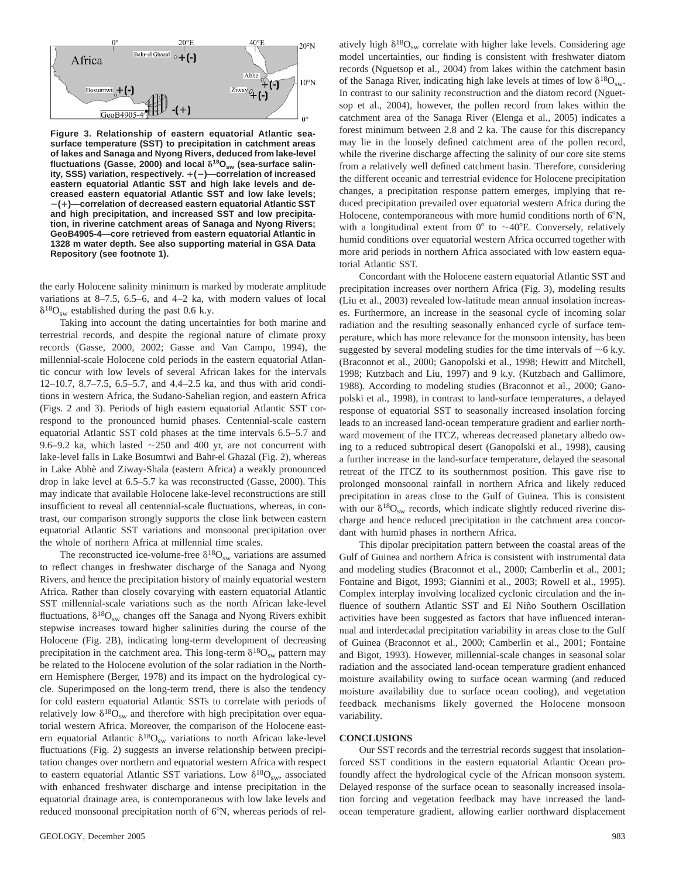

**Figure 3. Relationship of eastern equatorial Atlantic seasurface temperature (SST) to precipitation in catchment areas of lakes and Sanaga and Nyong Rivers, deduced from lake-level** fluctuations (Gasse, 2000) and local  $\delta^{18}O_{\text{sw}}$  (sea-surface salin**ity, SSS) variation, respectively.** 1**(**2**)—correlation of increased eastern equatorial Atlantic SST and high lake levels and decreased eastern equatorial Atlantic SST and low lake levels;** 2**(**1**)—correlation of decreased eastern equatorial Atlantic SST and high precipitation, and increased SST and low precipitation, in riverine catchment areas of Sanaga and Nyong Rivers; GeoB4905-4—core retrieved from eastern equatorial Atlantic in 1328 m water depth. See also supporting material in GSA Data Repository (see footnote 1).**

the early Holocene salinity minimum is marked by moderate amplitude variations at 8–7.5, 6.5–6, and 4–2 ka, with modern values of local  $\delta^{18}O_{\text{sw}}$  established during the past 0.6 k.y.

Taking into account the dating uncertainties for both marine and terrestrial records, and despite the regional nature of climate proxy records (Gasse, 2000, 2002; Gasse and Van Campo, 1994), the millennial-scale Holocene cold periods in the eastern equatorial Atlantic concur with low levels of several African lakes for the intervals 12–10.7, 8.7–7.5, 6.5–5.7, and 4.4–2.5 ka, and thus with arid conditions in western Africa, the Sudano-Sahelian region, and eastern Africa (Figs. 2 and 3). Periods of high eastern equatorial Atlantic SST correspond to the pronounced humid phases. Centennial-scale eastern equatorial Atlantic SST cold phases at the time intervals 6.5–5.7 and 9.6–9.2 ka, which lasted  $\sim$ 250 and 400 yr, are not concurrent with lake-level falls in Lake Bosumtwi and Bahr-el Ghazal (Fig. 2), whereas in Lake Abhè and Ziway-Shala (eastern Africa) a weakly pronounced drop in lake level at 6.5–5.7 ka was reconstructed (Gasse, 2000). This may indicate that available Holocene lake-level reconstructions are still insufficient to reveal all centennial-scale fluctuations, whereas, in contrast, our comparison strongly supports the close link between eastern equatorial Atlantic SST variations and monsoonal precipitation over the whole of northern Africa at millennial time scales.

The reconstructed ice-volume-free  $\delta^{18}O_{sw}$  variations are assumed to reflect changes in freshwater discharge of the Sanaga and Nyong Rivers, and hence the precipitation history of mainly equatorial western Africa. Rather than closely covarying with eastern equatorial Atlantic SST millennial-scale variations such as the north African lake-level fluctuations,  $\delta^{18}O_{sw}$  changes off the Sanaga and Nyong Rivers exhibit stepwise increases toward higher salinities during the course of the Holocene (Fig. 2B), indicating long-term development of decreasing precipitation in the catchment area. This long-term  $\delta^{18}O_{sw}$  pattern may be related to the Holocene evolution of the solar radiation in the Northern Hemisphere (Berger, 1978) and its impact on the hydrological cycle. Superimposed on the long-term trend, there is also the tendency for cold eastern equatorial Atlantic SSTs to correlate with periods of relatively low  $\delta^{18}O_{sw}$  and therefore with high precipitation over equatorial western Africa. Moreover, the comparison of the Holocene eastern equatorial Atlantic  $\delta^{18}O_{sw}$  variations to north African lake-level fluctuations (Fig. 2) suggests an inverse relationship between precipitation changes over northern and equatorial western Africa with respect to eastern equatorial Atlantic SST variations. Low  $\delta^{18}O_{\rm sw}$ , associated with enhanced freshwater discharge and intense precipitation in the equatorial drainage area, is contemporaneous with low lake levels and reduced monsoonal precipitation north of 6°N, whereas periods of rel-

atively high  $\delta^{18}O_{sw}$  correlate with higher lake levels. Considering age model uncertainties, our finding is consistent with freshwater diatom records (Nguetsop et al., 2004) from lakes within the catchment basin of the Sanaga River, indicating high lake levels at times of low  $\delta^{18}O_{sw}$ . In contrast to our salinity reconstruction and the diatom record (Nguetsop et al., 2004), however, the pollen record from lakes within the catchment area of the Sanaga River (Elenga et al., 2005) indicates a forest minimum between 2.8 and 2 ka. The cause for this discrepancy may lie in the loosely defined catchment area of the pollen record, while the riverine discharge affecting the salinity of our core site stems from a relatively well defined catchment basin. Therefore, considering the different oceanic and terrestrial evidence for Holocene precipitation changes, a precipitation response pattern emerges, implying that reduced precipitation prevailed over equatorial western Africa during the Holocene, contemporaneous with more humid conditions north of  $6^\circ$ N, with a longitudinal extent from  $0^{\circ}$  to  $\sim$ 40°E. Conversely, relatively humid conditions over equatorial western Africa occurred together with more arid periods in northern Africa associated with low eastern equatorial Atlantic SST.

Concordant with the Holocene eastern equatorial Atlantic SST and precipitation increases over northern Africa (Fig. 3), modeling results (Liu et al., 2003) revealed low-latitude mean annual insolation increases. Furthermore, an increase in the seasonal cycle of incoming solar radiation and the resulting seasonally enhanced cycle of surface temperature, which has more relevance for the monsoon intensity, has been suggested by several modeling studies for the time intervals of  $\sim$  6 k.y. (Braconnot et al., 2000; Ganopolski et al., 1998; Hewitt and Mitchell, 1998; Kutzbach and Liu, 1997) and 9 k.y. (Kutzbach and Gallimore, 1988). According to modeling studies (Braconnot et al., 2000; Ganopolski et al., 1998), in contrast to land-surface temperatures, a delayed response of equatorial SST to seasonally increased insolation forcing leads to an increased land-ocean temperature gradient and earlier northward movement of the ITCZ, whereas decreased planetary albedo owing to a reduced subtropical desert (Ganopolski et al., 1998), causing a further increase in the land-surface temperature, delayed the seasonal retreat of the ITCZ to its southernmost position. This gave rise to prolonged monsoonal rainfall in northern Africa and likely reduced precipitation in areas close to the Gulf of Guinea. This is consistent with our  $\delta^{18}O_{sw}$  records, which indicate slightly reduced riverine discharge and hence reduced precipitation in the catchment area concordant with humid phases in northern Africa.

This dipolar precipitation pattern between the coastal areas of the Gulf of Guinea and northern Africa is consistent with instrumental data and modeling studies (Braconnot et al., 2000; Camberlin et al., 2001; Fontaine and Bigot, 1993; Giannini et al., 2003; Rowell et al., 1995). Complex interplay involving localized cyclonic circulation and the influence of southern Atlantic SST and El Niño Southern Oscillation activities have been suggested as factors that have influenced interannual and interdecadal precipitation variability in areas close to the Gulf of Guinea (Braconnot et al., 2000; Camberlin et al., 2001; Fontaine and Bigot, 1993). However, millennial-scale changes in seasonal solar radiation and the associated land-ocean temperature gradient enhanced moisture availability owing to surface ocean warming (and reduced moisture availability due to surface ocean cooling), and vegetation feedback mechanisms likely governed the Holocene monsoon variability.

#### **CONCLUSIONS**

Our SST records and the terrestrial records suggest that insolationforced SST conditions in the eastern equatorial Atlantic Ocean profoundly affect the hydrological cycle of the African monsoon system. Delayed response of the surface ocean to seasonally increased insolation forcing and vegetation feedback may have increased the landocean temperature gradient, allowing earlier northward displacement